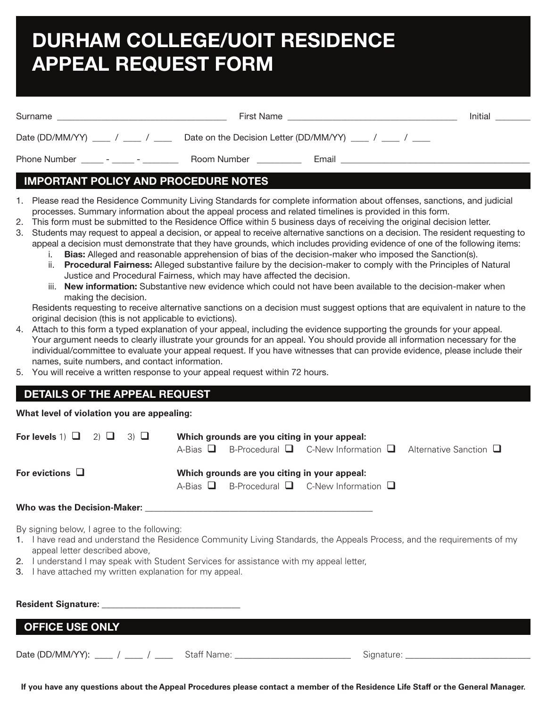# **DURHAM COLLEGE/UOIT RESIDENCE APPEAL REQUEST FORM**

| Surname                                                  | First Name  |       | Initial |
|----------------------------------------------------------|-------------|-------|---------|
| Date (DD/MM/YY) ___ / ___ / ___                          |             |       |         |
| Phone Number<br>$\sim$<br><b>Contract Contract State</b> | Room Number | Email |         |

## **IMPORTANT POLICY AND PROCEDURE NOTES**

- 1. Please read the Residence Community Living Standards for complete information about offenses, sanctions, and judicial processes. Summary information about the appeal process and related timelines is provided in this form.
- 2. This form must be submitted to the Residence Office within 5 business days of receiving the original decision letter.
- 3. Students may request to appeal a decision, or appeal to receive alternative sanctions on a decision. The resident requesting to appeal a decision must demonstrate that they have grounds, which includes providing evidence of one of the following items:
	- i. **Bias:** Alleged and reasonable apprehension of bias of the decision-maker who imposed the Sanction(s).
	- ii. **Procedural Fairness:** Alleged substantive failure by the decision-maker to comply with the Principles of Natural Justice and Procedural Fairness, which may have affected the decision.
	- iii. **New information:** Substantive new evidence which could not have been available to the decision-maker when making the decision.

Residents requesting to receive alternative sanctions on a decision must suggest options that are equivalent in nature to the original decision (this is not applicable to evictions).

- 4. Attach to this form a typed explanation of your appeal, including the evidence supporting the grounds for your appeal. Your argument needs to clearly illustrate your grounds for an appeal. You should provide all information necessary for the individual/committee to evaluate your appeal request. If you have witnesses that can provide evidence, please include their names, suite numbers, and contact information.
- 5. You will receive a written response to your appeal request within 72 hours.

## **DETAILS OF THE APPEAL REQUEST**

## **What level of violation you are appealing:**

| For levels 1) $\Box$ 2) $\Box$<br>3) ⊔                                                                                                                                                                                         | Which grounds are you citing in your appeal:<br>B-Procedural $\Box$ C-New Information $\Box$ Alternative Sanction $\Box$<br>A-Bias <b>⊔</b> |  |  |
|--------------------------------------------------------------------------------------------------------------------------------------------------------------------------------------------------------------------------------|---------------------------------------------------------------------------------------------------------------------------------------------|--|--|
| For evictions $\Box$                                                                                                                                                                                                           | Which grounds are you citing in your appeal:<br>A-Bias $\Box$ B-Procedural $\Box$ C-New Information $\Box$                                  |  |  |
| Who was the Decision-Maker: with a state of the control of the control of the control of the control of the control of the control of the control of the control of the control of the control of the control of the control o |                                                                                                                                             |  |  |
| By signing below, I agree to the following:<br>appeal letter described above,                                                                                                                                                  | 1. I have read and understand the Residence Community Living Standards, the Appeals Process, and the requirements of my                     |  |  |

- 2. I understand I may speak with Student Services for assistance with my appeal letter,
- 3. I have attached my written explanation for my appeal.

| <b>Resident Signature:</b>       |             |            |  |  |  |
|----------------------------------|-------------|------------|--|--|--|
| <b>OFFICE USE ONLY</b>           |             |            |  |  |  |
| Date (DD/MM/YY): ___ / ___ / ___ | Staff Name: | Signature: |  |  |  |

**If you have any questions about the Appeal Procedures please contact a member of the Residence Life Staff or the General Manager.**